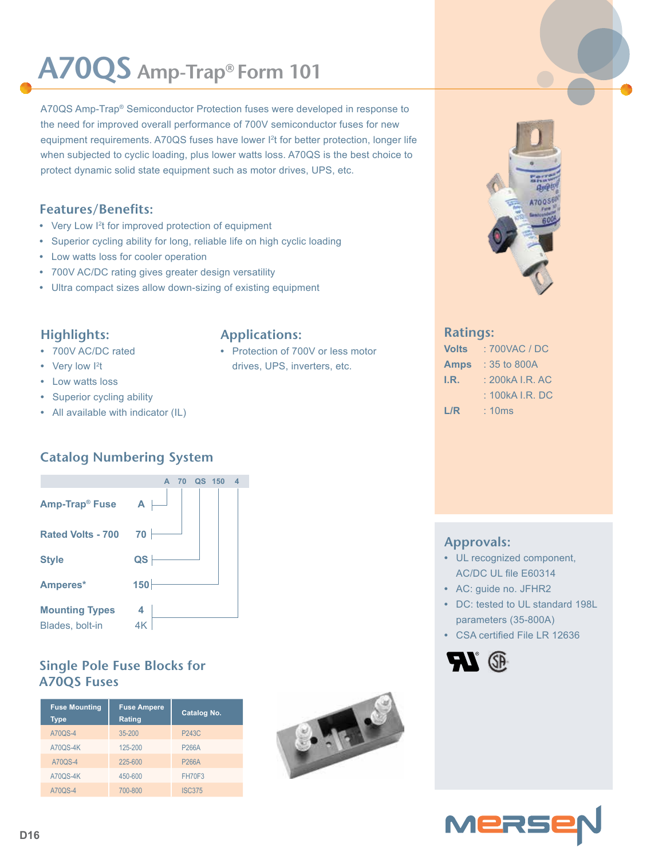# **A70QS Amp-Trap® Form 101**

A70QS Amp-Trap® Semiconductor Protection fuses were developed in response to the need for improved overall performance of 700V semiconductor fuses for new equipment requirements. A70QS fuses have lower I<sup>2</sup>t for better protection, longer life when subjected to cyclic loading, plus lower watts loss. A70QS is the best choice to protect dynamic solid state equipment such as motor drives, UPS, etc.

### **Features/Benefits:**

- Very Low I<sup>2</sup>t for improved protection of equipment
- **•** Superior cycling ability for long, reliable life on high cyclic loading
- **•** Low watts loss for cooler operation
- **•** 700V AC/DC rating gives greater design versatility
- **•** Ultra compact sizes allow down-sizing of existing equipment

#### **Highlights:**

- **•** 700V AC/DC rated
- Very low <sup>12</sup>t
- **•** Low watts loss
- **•** Superior cycling ability
- **•** All available with indicator (IL)

## **Catalog Numbering System**



## **Single Pole Fuse Blocks for A70QS Fuses**

| <b>Fuse Mounting</b><br><b>Type</b> | <b>Fuse Ampere</b><br>Rating | <b>Catalog No.</b> |  |  |  |
|-------------------------------------|------------------------------|--------------------|--|--|--|
| A70QS-4                             | 35-200                       | <b>P243C</b>       |  |  |  |
| <b>A70QS-4K</b>                     | 125-200                      | P266A              |  |  |  |
| A70QS-4                             | 225-600                      | P266A              |  |  |  |
| <b>A70QS-4K</b>                     | 450-600                      | <b>FH70F3</b>      |  |  |  |
| A70QS-4                             | 700-800                      | <b>ISC375</b>      |  |  |  |



**•** Protection of 700V or less motor drives, UPS, inverters, etc.



#### **Ratings:**

| Volts       | : 700VAC / DC   |  |  |  |
|-------------|-----------------|--|--|--|
| <b>Amps</b> | : 35 to 800A    |  |  |  |
| I.R.        | : 200kA I.R. AC |  |  |  |
|             | : 100kA I.R. DC |  |  |  |
| L/R         | :10ms           |  |  |  |

- **Approvals: •** UL recognized component,
- AC/DC UL file E60314
- **•** AC: guide no. JFHR2
- **•** DC: tested to UL standard 198L parameters (35-800A)
- **•** CSA certified File LR 12636